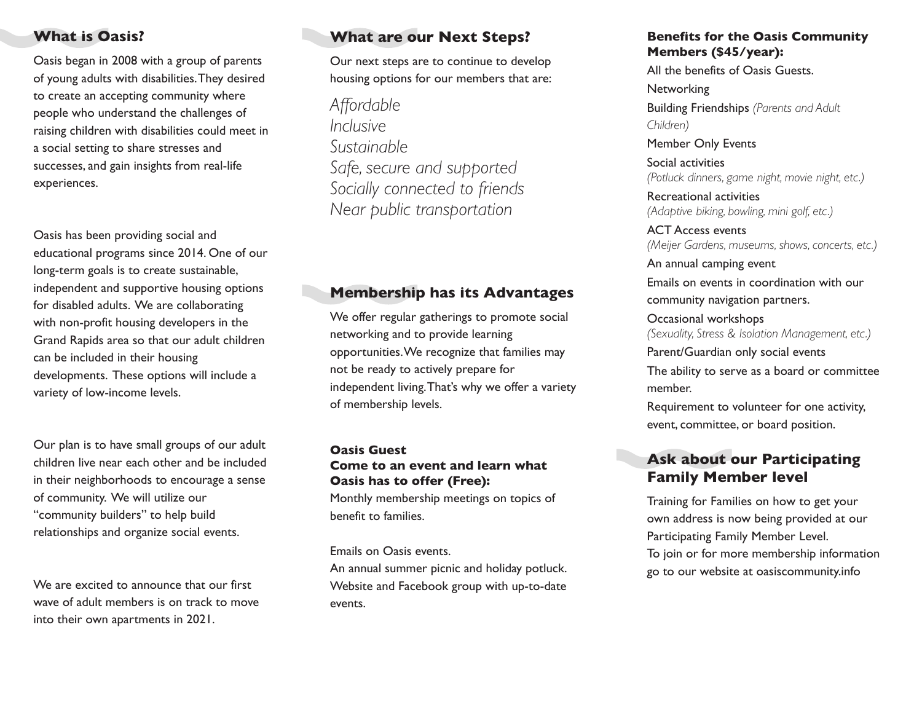## **What is Oasis?**

Oasis began in 2008 with a group of parents of young adults with disabilities. They desired to create an accepting community where people who understand the challenges of raising children with disabilities could meet in a social setting to share stresses and successes, and gain insights from real-life experiences.

Oasis has been providing social and educational programs since 2014. One of our long-term goals is to create sustainable, independent and supportive housing options for disabled adults. We are collaborating with non-profit housing developers in the Grand Rapids area so that our adult children can be included in their housing developments. These options will include a variety of low-income levels.

Our plan is to have small groups of our adult children live near each other and be included in their neighborhoods to encourage a sense of community. We will utilize our "community builders" to help build relationships and organize social events.

We are excited to announce that our first wave of adult members is on track to move into their own apartments in 2021.

# **What are our Next Steps?**

Our next steps are to continue to develop housing options for our members that are:

*Affordable Inclusive Sustainable Safe, secure and supported Socially connected to friends Near public transportation*

## **Membership has its Advantages**

We offer regular gatherings to promote social networking and to provide learning opportunities. We recognize that families may not be ready to actively prepare for independent living. That's why we offer a variety of membership levels.

### **Oasis Guest Come to an event and learn what Oasis has to offer (Free):**

Monthly membership meetings on topics of benefit to families.

Emails on Oasis events.

An annual summer picnic and holiday potluck. Website and Facebook group with up-to-date events.

#### **Benefits for the Oasis Community Members (\$45/year):**

All the benefits of Oasis Guests. **Networking** Building Friendships *(Parents and Adult Children)*

Member Only Events Social activities *(Potluck dinners, game night, movie night, etc.)*

Recreational activities *(Adaptive biking, bowling, mini golf, etc.)*

ACT Access events *(Meijer Gardens, museums, shows, concerts, etc.)*

An annual camping event Emails on events in coordination with our community navigation partners.

Occasional workshops *(Sexuality, Stress & Isolation Management, etc.)*

Parent/Guardian only social events

The ability to serve as a board or committee member.

Requirement to volunteer for one activity, event, committee, or board position.

## **Ask about our Participating Family Member level**

Training for Families on how to get your own address is now being provided at our Participating Family Member Level. To join or for more membership information go to our website at oasiscommunity.info